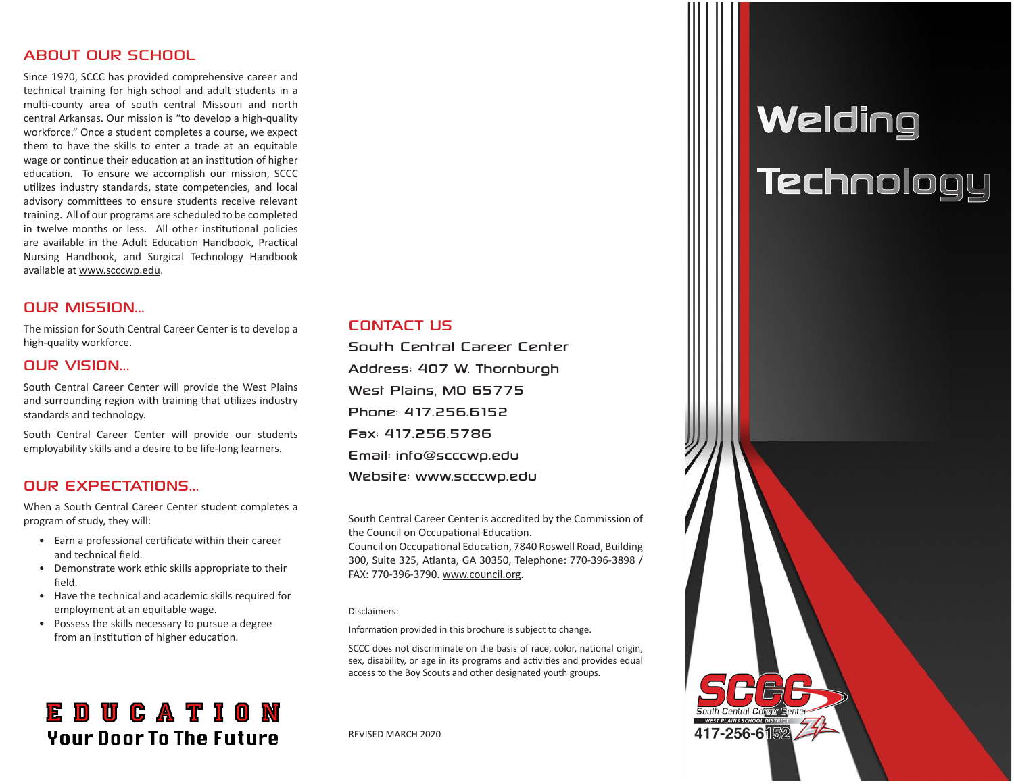# ABOUT OUR SCHOOL

Since 1970, SCCC has provided comprehensive career and technical training for high school and adult students in a multi-county area of south central Missouri and north central Arkansas. Our mission is "to develop a high-quality workforce." Once a student completes a course, we expect them to have the skills to enter a trade at an equitable wage or continue their education at an institution of higher education. To ensure we accomplish our mission, SCCC utilizes industry standards, state competencies, and local advisory committees to ensure students receive relevant training. All of our programs are scheduled to be completed in twelve months or less. All other institutional policies are available in the Adult Education Handbook, Practical Nursing Handbook, and Surgical Technology Handbook available at www.scccwp.edu.

# OUR MISSION...

The mission for South Central Career Center is to develop a high-quality workforce.

# OUR VISION...

South Central Career Center will provide the West Plains and surrounding region with training that utilizes industry standards and technology.

South Central Career Center will provide our students employability skills and a desire to be life-long learners.

# **OUR EXPECTATIONS**

When a South Central Career Center student completes a program of study, they will:

- Earn a professional certificate within their career and technical field.
- Demonstrate work ethic skills appropriate to their field.
- Have the technical and academic skills required for employment at an equitable wage.
- Possess the skills necessary to pursue a degree from an institution of higher education.

# **EDUCATION Your Door To The Future**

### CONTACT US

South Central Career Center Address: 407 W. Thornburgh West Plains, MO 65775 Phone: 417.256.6152 Fax: 417.256.5786 Email: info@scccwp.edu Website: www.scccwp.edu

South Central Career Center is accredited by the Commission of the Council on Occupational Education.

Council on Occupational Education, 7840 Roswell Road, Building 300, Suite 325, Atlanta, GA 30350, Telephone: 770-396-3898 / FAX: 770-396-3790. www.council.org.

#### Disclaimers:

Information provided in this brochure is subject to change.

SCCC does not discriminate on the basis of race, color, national origin, sex, disability, or age in its programs and activities and provides equal access to the Boy Scouts and other designated youth groups.

#### REVISED MARCH 2020

# **Welding Technology**

417-256-6隔2